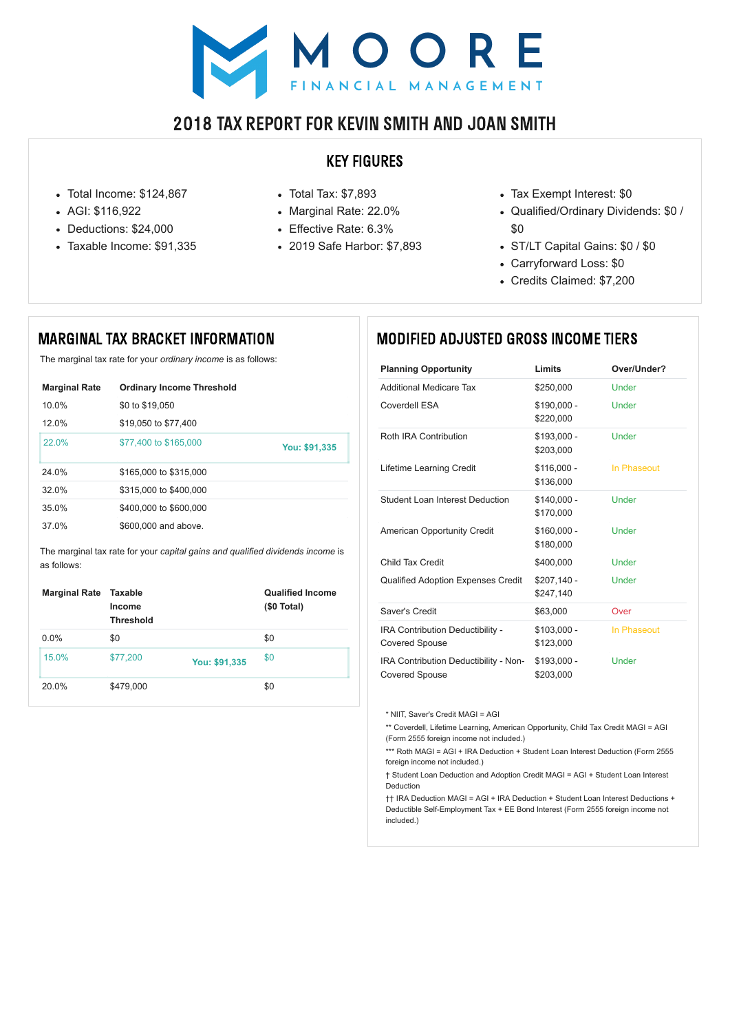# NOORE

# 2018 TAX REPORT FOR KEVIN SMITH AND JOAN SMITH

## KEY FIGURES

- Total Income: \$124,867
- AGI: \$116,922
- Deductions: \$24,000
- Taxable Income: \$91,335
- Total Tax: \$7,893
- Marginal Rate: 22.0%
- Effective Rate: 6.3%
- 2019 Safe Harbor: \$7,893
- Tax Exempt Interest: \$0
- Qualified/Ordinary Dividends: \$0 / \$0
- ST/LT Capital Gains: \$0 / \$0
- Carryforward Loss: \$0
- Credits Claimed: \$7,200

# MARGINAL TAX BRACKET INFORMATION

The marginal tax rate for your *ordinary income* is as follows:

The marginal tax rate for your *capital gains and qualified dividends income* is as follows:

| <b>Marginal Rate</b> | <b>Ordinary Income Threshold</b> |               |
|----------------------|----------------------------------|---------------|
| $10.0\%$             | \$0 to \$19,050                  |               |
| 12.0%                | \$19,050 to \$77,400             |               |
| $22.0\%$             | \$77,400 to \$165,000            | You: \$91,335 |
| 24.0%                | \$165,000 to \$315,000           |               |
| $32.0\%$             | \$315,000 to \$400,000           |               |
| 35.0%                | \$400,000 to \$600,000           |               |
| 37.0%                | \$600,000 and above.             |               |

| <b>Marginal Rate</b> | Taxable<br><b>Income</b><br><b>Threshold</b> |               | <b>Qualified Income</b><br>$$0$ Total) |
|----------------------|----------------------------------------------|---------------|----------------------------------------|
| $0.0\%$              | \$0                                          |               | \$0                                    |
| 15.0%                | \$77,200                                     | You: \$91,335 | \$0                                    |
| 20.0%                | \$479,000                                    |               | \$0                                    |

\*\*\* Roth MAGI = AGI + IRA Deduction + Student Loan Interest Deduction (Form 2555 foreign income not included.)

# MODIFIED ADJUSTED GROSS INCOME TIERS

| <b>Planning Opportunity</b>                                      | Limits                    | Over/Under?  |
|------------------------------------------------------------------|---------------------------|--------------|
| <b>Additional Medicare Tax</b>                                   | \$250,000                 | Under        |
| <b>Coverdell ESA</b>                                             | $$190,000 -$<br>\$220,000 | <b>Under</b> |
| <b>Roth IRA Contribution</b>                                     | $$193,000 -$<br>\$203,000 | <b>Under</b> |
| <b>Lifetime Learning Credit</b>                                  | $$116,000 -$<br>\$136,000 | In Phaseout  |
| <b>Student Loan Interest Deduction</b>                           | $$140,000 -$<br>\$170,000 | Under        |
| <b>American Opportunity Credit</b>                               | $$160,000 -$<br>\$180,000 | <b>Under</b> |
| Child Tax Credit                                                 | \$400,000                 | Under        |
| <b>Qualified Adoption Expenses Credit</b>                        | \$207,140 -<br>\$247,140  | <b>Under</b> |
| Saver's Credit                                                   | \$63,000                  | Over         |
| <b>IRA Contribution Deductibility -</b><br><b>Covered Spouse</b> | $$103,000 -$<br>\$123,000 | In Phaseout  |
| IRA Contribution Deductibility - Non-<br><b>Covered Spouse</b>   | $$193,000 -$<br>\$203,000 | Under        |

\* NIIT, Saver's Credit MAGI = AGI

\*\* Coverdell, Lifetime Learning, American Opportunity, Child Tax Credit MAGI = AGI (Form 2555 foreign income not included.)

† Student Loan Deduction and Adoption Credit MAGI = AGI + Student Loan Interest

#### Deduction

†† IRA Deduction MAGI = AGI + IRA Deduction + Student Loan Interest Deductions + Deductible Self-Employment Tax + EE Bond Interest (Form 2555 foreign income not included.)